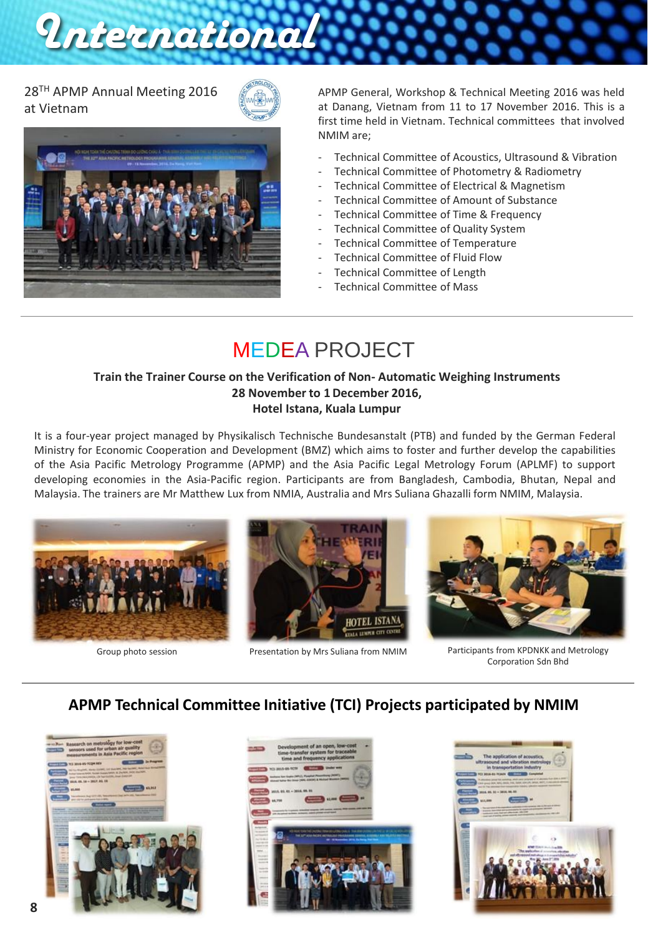28TH APMP Annual Meeting 2016 at Vietnam





*International*

APMP General, Workshop & Technical Meeting 2016 was held at Danang, Vietnam from 11 to 17 November 2016. This is a first time held in Vietnam. Technical committees that involved NMIM are;

- Technical Committee of Acoustics, Ultrasound & Vibration
- Technical Committee of Photometry & Radiometry
- Technical Committee of Electrical & Magnetism
- Technical Committee of Amount of Substance
- Technical Committee of Time & Frequency
- Technical Committee of Quality System
- Technical Committee of Temperature
- Technical Committee of Fluid Flow
- Technical Committee of Length
- Technical Committee of Mass

# MEDEA PROJECT

#### **Train the Trainer Course on the Verification of Non- Automatic Weighing Instruments 28 November to 1December 2016, Hotel Istana, Kuala Lumpur**

It is a four-year project managed by Physikalisch Technische Bundesanstalt (PTB) and funded by the German Federal Ministry for Economic Cooperation and Development (BMZ) which aims to foster and further develop the capabilities of the Asia Pacific Metrology Programme (APMP) and the Asia Pacific Legal Metrology Forum (APLMF) to support developing economies in the Asia-Pacific region. Participants are from Bangladesh, Cambodia, Bhutan, Nepal and Malaysia. The trainers are Mr Matthew Lux from NMIA, Australia and Mrs Suliana Ghazalli form NMIM, Malaysia.







Group photo session Presentation by Mrs Suliana from NMIM Participants from KPDNKK and Metrology Corporation Sdn Bhd

### **APMP Technical Committee Initiative (TCI) Projects participated by NMIM**





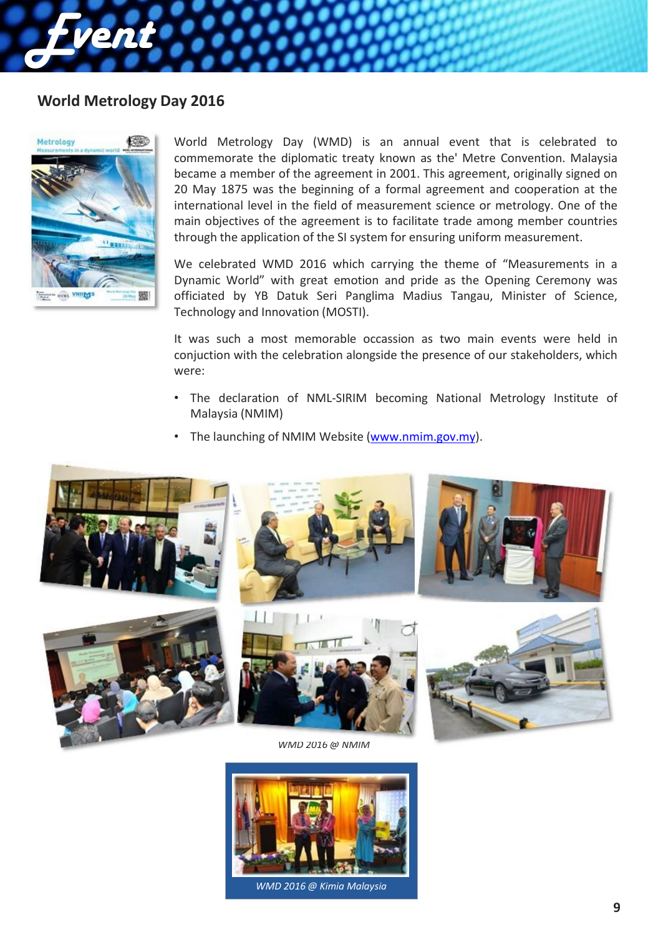#### **World Metrology Day 2016**



*Event*

World Metrology Day (WMD) is an annual event that is celebrated to commemorate the diplomatic treaty known as the' Metre Convention. Malaysia became a member of the agreement in 2001. This agreement, originally signed on 20 May 1875 was the beginning of a formal agreement and cooperation at the international level in the field of measurement science or metrology. One of the main objectives of the agreement is to facilitate trade among member countries through the application of the SI system for ensuring uniform measurement.

We celebrated WMD 2016 which carrying the theme of "Measurements in a Dynamic World" with great emotion and pride as the Opening Ceremony was officiated by YB Datuk Seri Panglima Madius Tangau, Minister of Science, Technology and Innovation (MOSTI).

It was such a most memorable occassion as two main events were held in conjuction with the celebration alongside the presence of our stakeholders, which were:

- The declaration of NML-SIRIM becoming National Metrology Institute of Malaysia (NMIM)
- The launching of NMIM Website ([www.nmim.gov.my\)](http://www.nmim.gov.my/).



*WMD 2016 @ NMIM*



*WMD 2016 @ Kimia Malaysia*